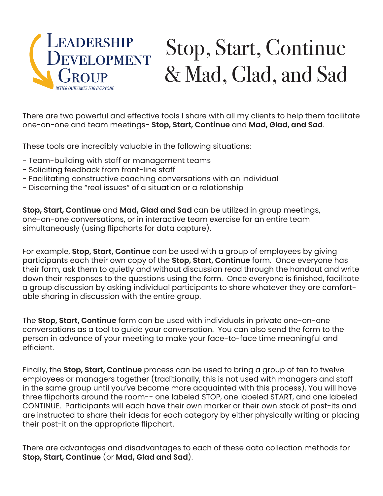

## Stop, Start, Continue & Mad, Glad, and Sad

There are two powerful and effective tools I share with all my clients to help them facilitate one-on-one and team meetings- **Stop, Start, Continue** and **Mad, Glad, and Sad**.

These tools are incredibly valuable in the following situations:

- Team-building with staff or management teams
- Soliciting feedback from front-line staff
- Facilitating constructive coaching conversations with an individual
- Discerning the "real issues" of a situation or a relationship

**Stop, Start, Continue** and **Mad, Glad and Sad** can be utilized in group meetings, one-on-one conversations, or in interactive team exercise for an entire team simultaneously (using flipcharts for data capture).

For example, **Stop, Start, Continue** can be used with a group of employees by giving participants each their own copy of the **Stop, Start, Continue** form. Once everyone has their form, ask them to quietly and without discussion read through the handout and write down their responses to the questions using the form. Once everyone is finished, facilitate a group discussion by asking individual participants to share whatever they are comfortable sharing in discussion with the entire group.

The **Stop, Start, Continue** form can be used with individuals in private one-on-one conversations as a tool to guide your conversation. You can also send the form to the person in advance of your meeting to make your face-to-face time meaningful and efficient.

Finally, the **Stop, Start, Continue** process can be used to bring a group of ten to twelve employees or managers together (traditionally, this is not used with managers and staff in the same group until you've become more acquainted with this process). You will have three flipcharts around the room-- one labeled STOP, one labeled START, and one labeled CONTINUE. Participants will each have their own marker or their own stack of post-its and are instructed to share their ideas for each category by either physically writing or placing their post-it on the appropriate flipchart.

There are advantages and disadvantages to each of these data collection methods for **Stop, Start, Continue** (or **Mad, Glad and Sad**).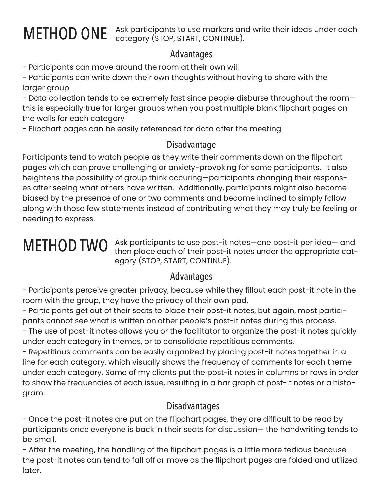METHOD ONE Ask participants to use markers and write their ideas under each category (STOP, START, CONTINUE).

### Advantages

- Participants can move around the room at their own will

- Participants can write down their own thoughts without having to share with the larger group

- Data collection tends to be extremely fast since people disburse throughout the room this is especially true for larger groups when you post multiple blank flipchart pages on the walls for each category

- Flipchart pages can be easily referenced for data after the meeting

### Disadvantage

Participants tend to watch people as they write their comments down on the flipchart pages which can prove challenging or anxiety-provoking for some participants. It also heightens the possibility of group think occuring—participants changing their responses after seeing what others have written. Additionally, participants might also become biased by the presence of one or two comments and become inclined to simply follow along with those few statements instead of contributing what they may truly be feeling or needing to express.

## METHOD TWO

Ask participants to use post-it notes—one post-it per idea— and then place each of their post-it notes under the appropriate category (STOP, START, CONTINUE).

### Advantages

- Participants perceive greater privacy, because while they fillout each post-it note in the room with the group, they have the privacy of their own pad.

- Participants get out of their seats to place their post-it notes, but again, most participants cannot see what is written on other people's post-it notes during this process.

- The use of post-it notes allows you or the facilitator to organize the post-it notes quickly under each category in themes, or to consolidate repetitious comments.

- Repetitious comments can be easily organized by placing post-it notes together in a line for each category, which visually shows the frequency of comments for each theme under each category. Some of my clients put the post-it notes in columns or rows in order to show the frequencies of each issue, resulting in a bar graph of post-it notes or a histogram.

### Disadvantages

- Once the post-it notes are put on the flipchart pages, they are difficult to be read by participants once everyone is back in their seats for discussion— the handwriting tends to be small.

- After the meeting, the handling of the flipchart pages is a little more tedious because the post-it notes can tend to fall off or move as the flipchart pages are folded and utilized later.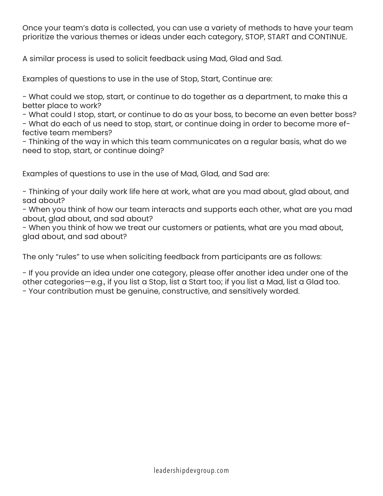Once your team's data is collected, you can use a variety of methods to have your team prioritize the various themes or ideas under each category, STOP, START and CONTINUE.

A similar process is used to solicit feedback using Mad, Glad and Sad.

Examples of questions to use in the use of Stop, Start, Continue are:

- What could we stop, start, or continue to do together as a department, to make this a better place to work?

- What could I stop, start, or continue to do as your boss, to become an even better boss? - What do each of us need to stop, start, or continue doing in order to become more effective team members?

- Thinking of the way in which this team communicates on a regular basis, what do we need to stop, start, or continue doing?

Examples of questions to use in the use of Mad, Glad, and Sad are:

- Thinking of your daily work life here at work, what are you mad about, glad about, and sad about?

- When you think of how our team interacts and supports each other, what are you mad about, glad about, and sad about?

- When you think of how we treat our customers or patients, what are you mad about, glad about, and sad about?

The only "rules" to use when soliciting feedback from participants are as follows:

- If you provide an idea under one category, please offer another idea under one of the other categories—e.g., if you list a Stop, list a Start too; if you list a Mad, list a Glad too. - Your contribution must be genuine, constructive, and sensitively worded.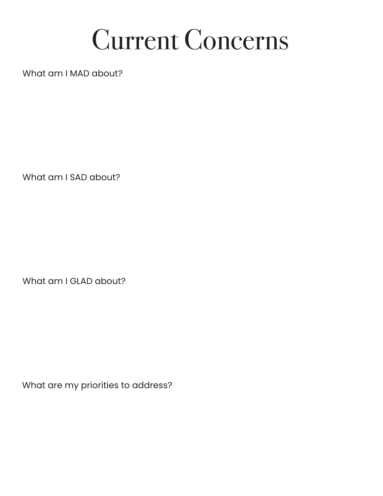# Current Concerns

What am I MAD about?

What am I SAD about?

What am I GLAD about?

What are my priorities to address?